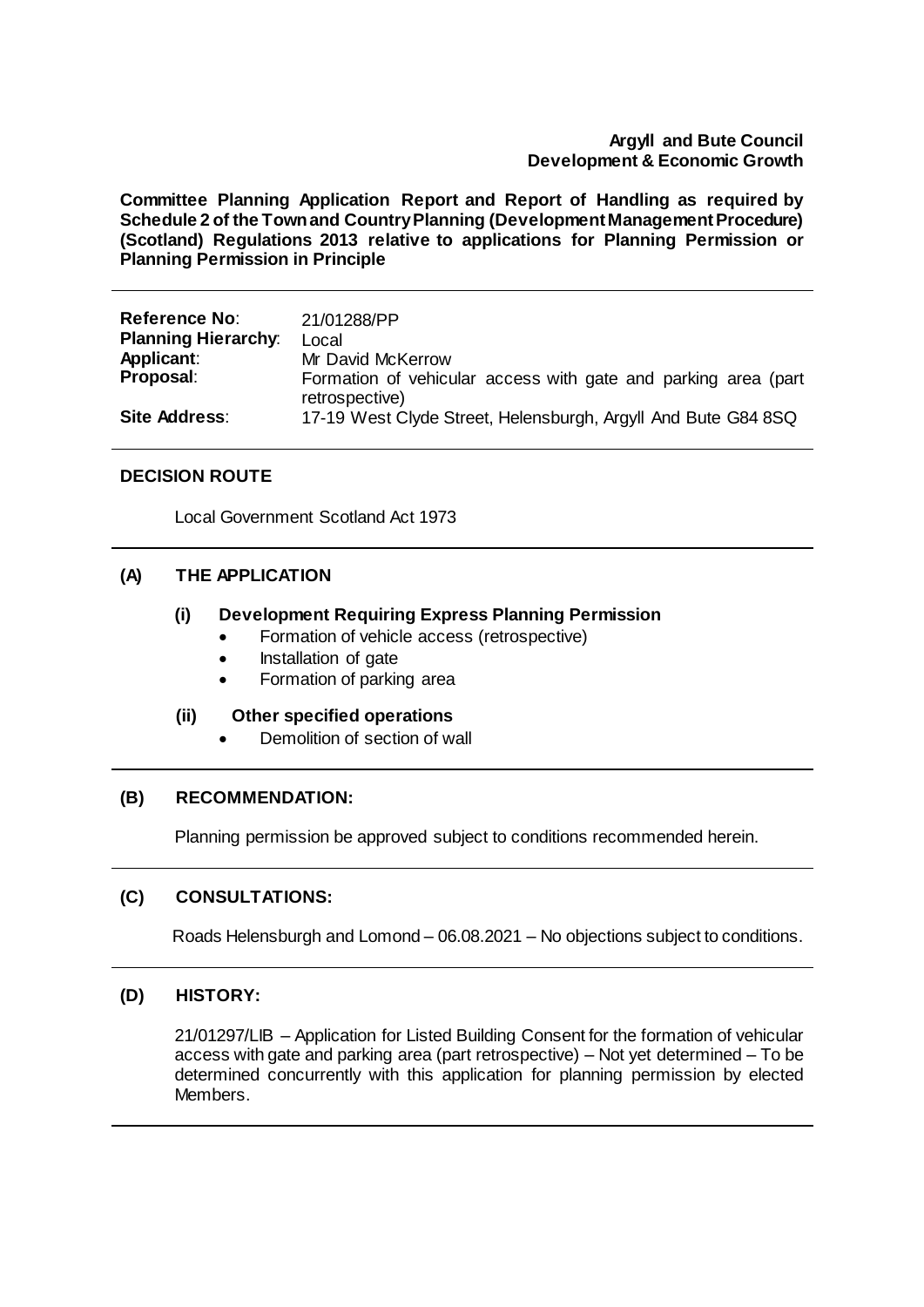## **Argyll and Bute Council Development & Economic Growth**

**Committee Planning Application Report and Report of Handling as required by Schedule 2 of the Town and Country Planning (Development Management Procedure) (Scotland) Regulations 2013 relative to applications for Planning Permission or Planning Permission in Principle**

| <b>Reference No:</b>       | 21/01288/PP                                                                     |
|----------------------------|---------------------------------------------------------------------------------|
| <b>Planning Hierarchy:</b> | Local                                                                           |
| Applicant:                 | Mr David McKerrow                                                               |
| Proposal:                  | Formation of vehicular access with gate and parking area (part)                 |
| <b>Site Address:</b>       | retrospective)<br>17-19 West Clyde Street, Helensburgh, Argyll And Bute G84 8SQ |

## **DECISION ROUTE**

Local Government Scotland Act 1973

## **(A) THE APPLICATION**

## **(i) Development Requiring Express Planning Permission**

- Formation of vehicle access (retrospective)
- Installation of gate
- Formation of parking area

## **(ii) Other specified operations**

Demolition of section of wall

## **(B) RECOMMENDATION:**

Planning permission be approved subject to conditions recommended herein.

# **(C) CONSULTATIONS:**

Roads Helensburgh and Lomond – 06.08.2021 – No objections subject to conditions.

# **(D) HISTORY:**

21/01297/LIB – Application for Listed Building Consent for the formation of vehicular access with gate and parking area (part retrospective) – Not yet determined – To be determined concurrently with this application for planning permission by elected Members.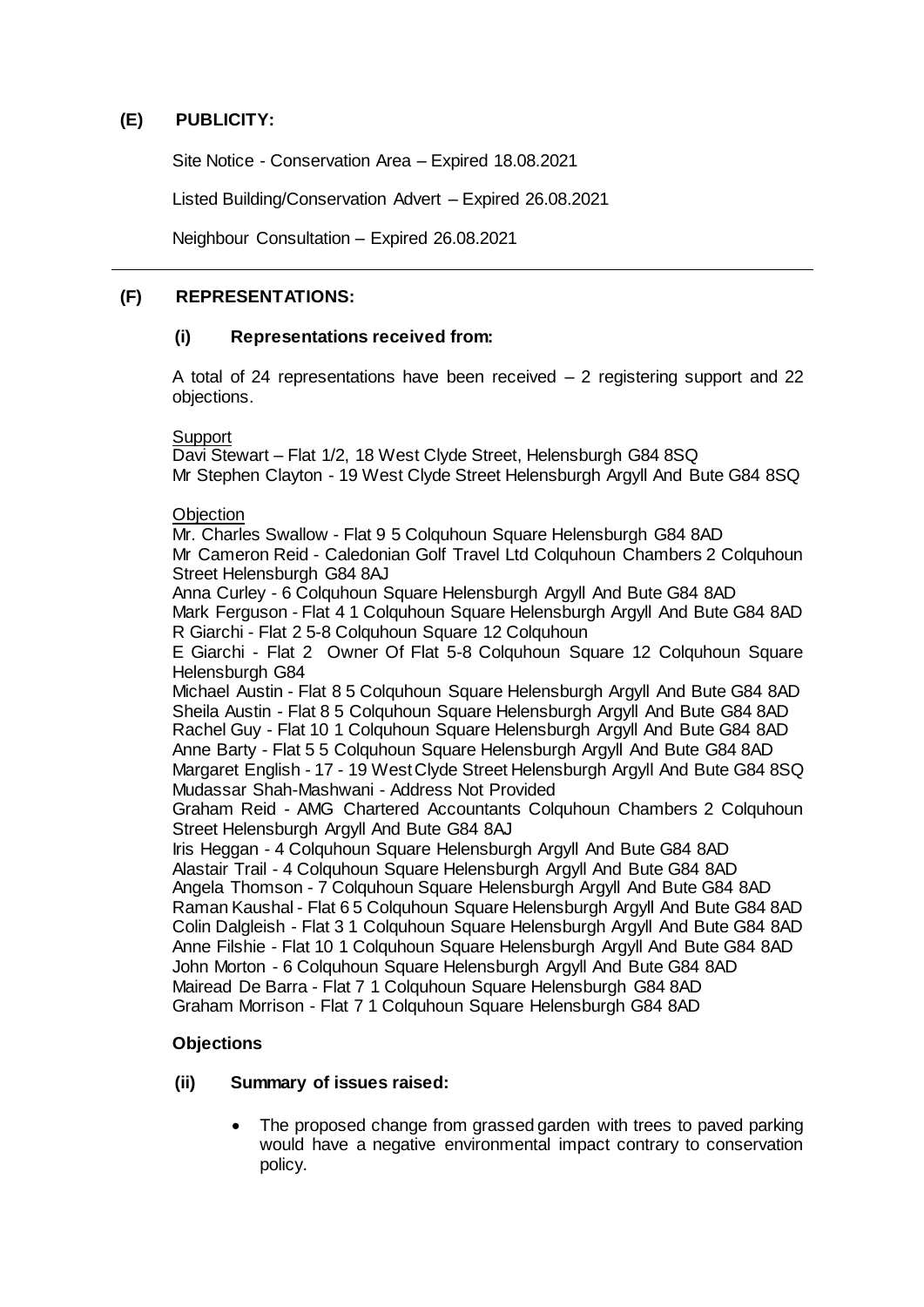# **(E) PUBLICITY:**

Site Notice - Conservation Area – Expired 18.08.2021

Listed Building/Conservation Advert – Expired 26.08.2021

Neighbour Consultation – Expired 26.08.2021

# **(F) REPRESENTATIONS:**

## **(i) Representations received from:**

A total of 24 representations have been received – 2 registering support and 22 objections.

**Support** 

Davi Stewart – Flat 1/2, 18 West Clyde Street, Helensburgh G84 8SQ Mr Stephen Clayton - 19 West Clyde Street Helensburgh Argyll And Bute G84 8SQ

## **Objection**

Mr. Charles Swallow - Flat 9 5 Colquhoun Square Helensburgh G84 8AD Mr Cameron Reid - Caledonian Golf Travel Ltd Colquhoun Chambers 2 Colquhoun Street Helensburgh G84 8AJ

Anna Curley - 6 Colquhoun Square Helensburgh Argyll And Bute G84 8AD Mark Ferguson - Flat 4 1 Colquhoun Square Helensburgh Argyll And Bute G84 8AD R Giarchi - Flat 2 5-8 Colquhoun Square 12 Colquhoun

E Giarchi - Flat 2 Owner Of Flat 5-8 Colquhoun Square 12 Colquhoun Square Helensburgh G84

Michael Austin - Flat 8 5 Colquhoun Square Helensburgh Argyll And Bute G84 8AD Sheila Austin - Flat 8 5 Colquhoun Square Helensburgh Argyll And Bute G84 8AD Rachel Guy - Flat 10 1 Colquhoun Square Helensburgh Argyll And Bute G84 8AD Anne Barty - Flat 5 5 Colquhoun Square Helensburgh Argyll And Bute G84 8AD Margaret English - 17 - 19 West Clyde Street Helensburgh Argyll And Bute G84 8SQ Mudassar Shah-Mashwani - Address Not Provided

Graham Reid - AMG Chartered Accountants Colquhoun Chambers 2 Colquhoun Street Helensburgh Argyll And Bute G84 8AJ

Iris Heggan - 4 Colquhoun Square Helensburgh Argyll And Bute G84 8AD Alastair Trail - 4 Colquhoun Square Helensburgh Argyll And Bute G84 8AD Angela Thomson - 7 Colquhoun Square Helensburgh Argyll And Bute G84 8AD Raman Kaushal - Flat 6 5 Colquhoun Square Helensburgh Argyll And Bute G84 8AD Colin Dalgleish - Flat 3 1 Colquhoun Square Helensburgh Argyll And Bute G84 8AD Anne Filshie - Flat 10 1 Colquhoun Square Helensburgh Argyll And Bute G84 8AD John Morton - 6 Colquhoun Square Helensburgh Argyll And Bute G84 8AD Mairead De Barra - Flat 7 1 Colquhoun Square Helensburgh G84 8AD Graham Morrison - Flat 7 1 Colquhoun Square Helensburgh G84 8AD

# **Objections**

## **(ii) Summary of issues raised:**

 The proposed change from grassed garden with trees to paved parking would have a negative environmental impact contrary to conservation policy.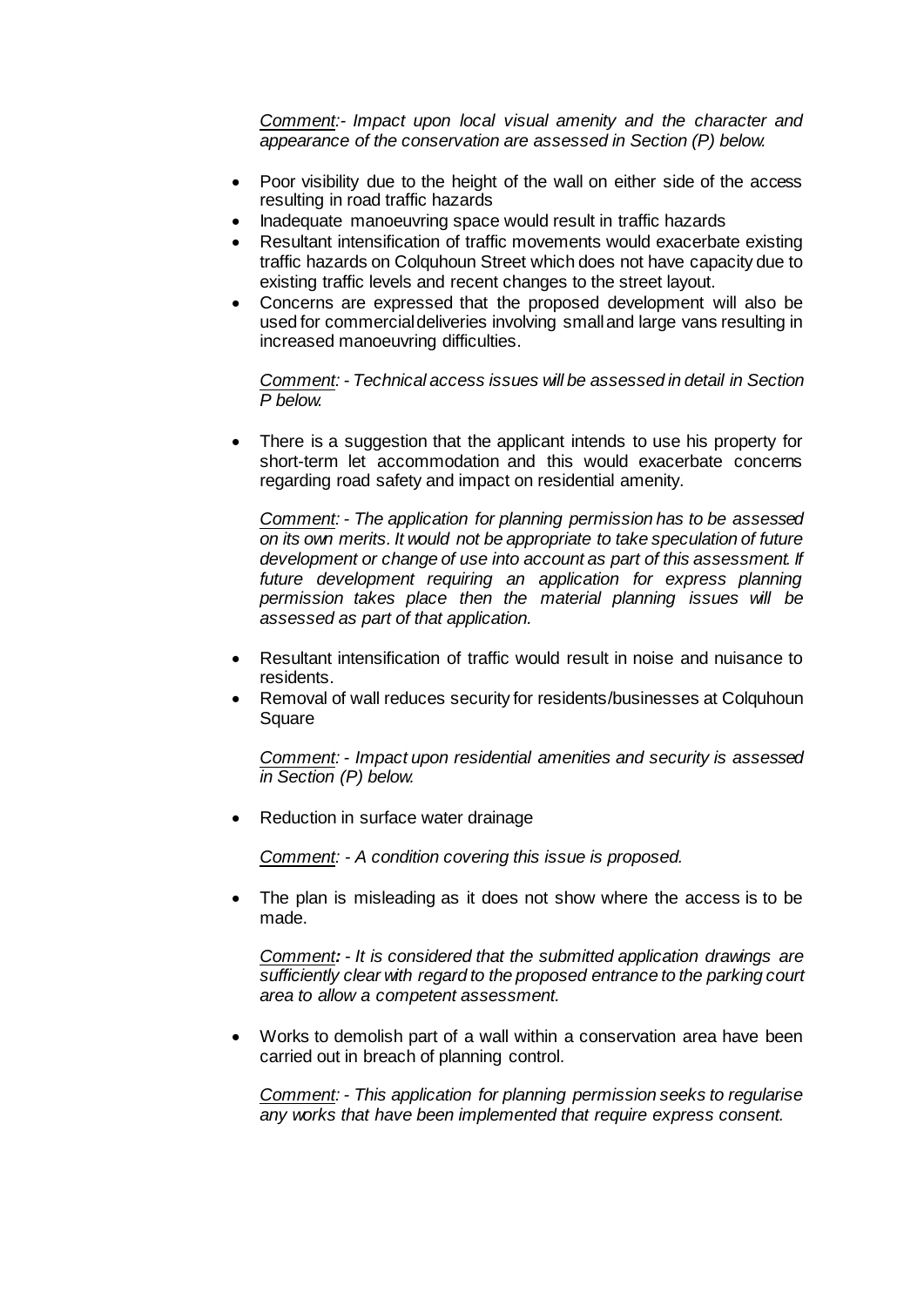*Comment:- Impact upon local visual amenity and the character and appearance of the conservation are assessed in Section (P) below.*

- Poor visibility due to the height of the wall on either side of the access resulting in road traffic hazards
- Inadequate manoeuvring space would result in traffic hazards
- Resultant intensification of traffic movements would exacerbate existing traffic hazards on Colquhoun Street which does not have capacity due to existing traffic levels and recent changes to the street layout.
- Concerns are expressed that the proposed development will also be used for commercial deliveries involving small and large vans resulting in increased manoeuvring difficulties.

*Comment: - Technical access issues will be assessed in detail in Section P below.*

 There is a suggestion that the applicant intends to use his property for short-term let accommodation and this would exacerbate concerns regarding road safety and impact on residential amenity.

*Comment: - The application for planning permission has to be assessed on its own merits. It would not be appropriate to take speculation of future development or change of use into account as part of this assessment. If future development requiring an application for express planning permission takes place then the material planning issues will be assessed as part of that application.*

- Resultant intensification of traffic would result in noise and nuisance to residents.
- Removal of wall reduces security for residents/businesses at Colquhoun Square

*Comment: - Impact upon residential amenities and security is assessed in Section (P) below.*

Reduction in surface water drainage

*Comment: - A condition covering this issue is proposed.* 

 The plan is misleading as it does not show where the access is to be made.

*Comment: - It is considered that the submitted application drawings are sufficiently clear with regard to the proposed entrance to the parking court area to allow a competent assessment.*

 Works to demolish part of a wall within a conservation area have been carried out in breach of planning control.

*Comment: - This application for planning permission seeks to regularise any works that have been implemented that require express consent.*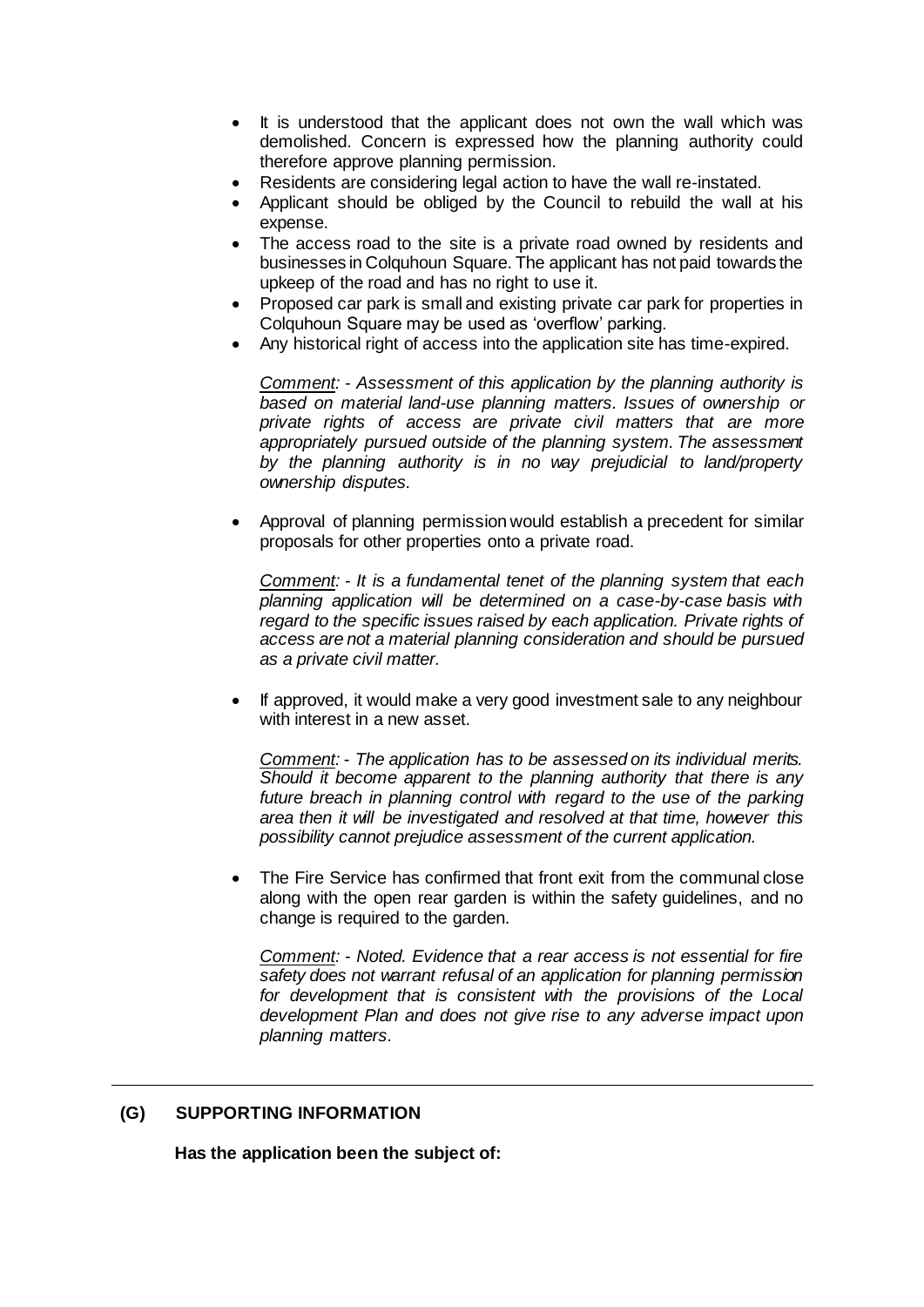- It is understood that the applicant does not own the wall which was demolished. Concern is expressed how the planning authority could therefore approve planning permission.
- Residents are considering legal action to have the wall re-instated.
- Applicant should be obliged by the Council to rebuild the wall at his expense.
- The access road to the site is a private road owned by residents and businesses in Colquhoun Square. The applicant has not paid towards the upkeep of the road and has no right to use it.
- Proposed car park is small and existing private car park for properties in Colquhoun Square may be used as 'overflow' parking.
- Any historical right of access into the application site has time-expired.

*Comment: - Assessment of this application by the planning authority is based on material land-use planning matters. Issues of ownership or private rights of access are private civil matters that are more appropriately pursued outside of the planning system. The assessment by the planning authority is in no way prejudicial to land/property ownership disputes.*

 Approval of planning permission would establish a precedent for similar proposals for other properties onto a private road.

*Comment: - It is a fundamental tenet of the planning system that each planning application will be determined on a case-by-case basis with regard to the specific issues raised by each application. Private rights of access are not a material planning consideration and should be pursued as a private civil matter.*

 If approved, it would make a very good investment sale to any neighbour with interest in a new asset.

*Comment: - The application has to be assessed on its individual merits. Should it become apparent to the planning authority that there is any*  future breach in planning control with regard to the use of the parking *area then it will be investigated and resolved at that time, however this possibility cannot prejudice assessment of the current application.*

 The Fire Service has confirmed that front exit from the communal close along with the open rear garden is within the safety guidelines, and no change is required to the garden.

*Comment: - Noted. Evidence that a rear access is not essential for fire safety does not warrant refusal of an application for planning permission for development that is consistent with the provisions of the Local development Plan and does not give rise to any adverse impact upon planning matters.*

# **(G) SUPPORTING INFORMATION**

**Has the application been the subject of:**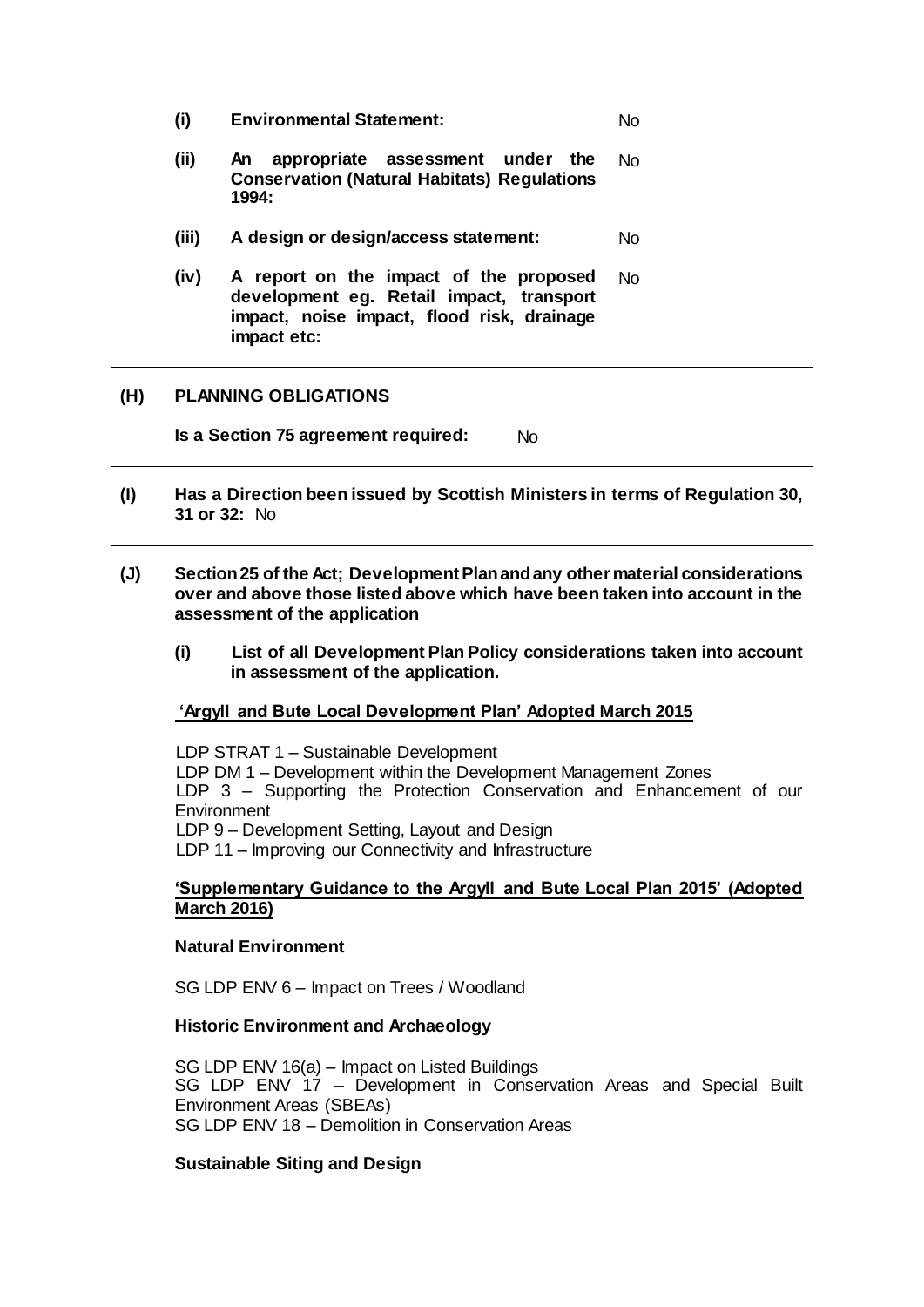| (i)   | <b>Environmental Statement:</b>                                                                                                                 | Nο  |
|-------|-------------------------------------------------------------------------------------------------------------------------------------------------|-----|
| (ii)  | appropriate assessment under the<br>An<br><b>Conservation (Natural Habitats) Regulations</b><br>1994:                                           | No  |
| (iii) | A design or design/access statement:                                                                                                            | No. |
| (iv)  | A report on the impact of the proposed<br>development eg. Retail impact, transport<br>impact, noise impact, flood risk, drainage<br>impact etc: | No  |

### **(H) PLANNING OBLIGATIONS**

**Is a Section 75 agreement required:** No

- **(I) Has a Direction been issued by Scottish Ministers in terms of Regulation 30, 31 or 32:** No
- **(J) Section 25 of the Act; Development Plan and any other material considerations over and above those listed above which have been taken into account in the assessment of the application**
	- **(i) List of all Development Plan Policy considerations taken into account in assessment of the application.**

## **'Argyll and Bute Local Development Plan' Adopted March 2015**

LDP STRAT 1 – Sustainable Development LDP DM 1 – Development within the Development Management Zones LDP 3 – Supporting the Protection Conservation and Enhancement of our **Environment** LDP 9 – Development Setting, Layout and Design LDP 11 – Improving our Connectivity and Infrastructure

### **'Supplementary Guidance to the Argyll and Bute Local Plan 2015' (Adopted March 2016)**

### **Natural Environment**

SG LDP ENV 6 – Impact on Trees / Woodland

#### **Historic Environment and Archaeology**

SG LDP ENV 16(a) – Impact on Listed Buildings SG LDP ENV 17 – Development in Conservation Areas and Special Built Environment Areas (SBEAs) SG LDP ENV 18 – Demolition in Conservation Areas

## **Sustainable Siting and Design**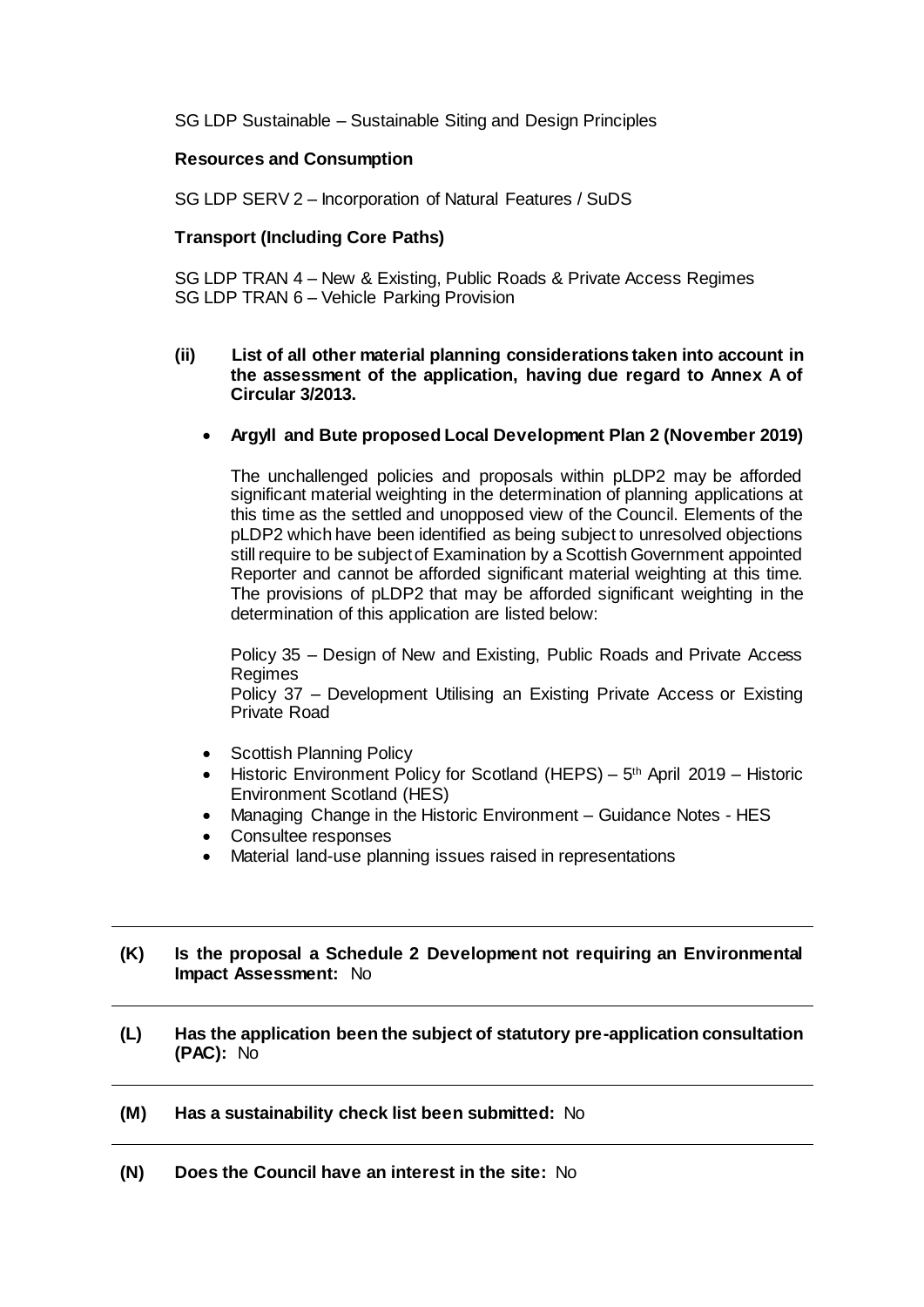SG LDP Sustainable – Sustainable Siting and Design Principles

### **Resources and Consumption**

SG LDP SERV 2 – Incorporation of Natural Features / SuDS

## **Transport (Including Core Paths)**

SG LDP TRAN 4 – New & Existing, Public Roads & Private Access Regimes SG LDP TRAN 6 – Vehicle Parking Provision

- **(ii) List of all other material planning considerations taken into account in the assessment of the application, having due regard to Annex A of Circular 3/2013.**
	- **Argyll and Bute proposed Local Development Plan 2 (November 2019)**

The unchallenged policies and proposals within pLDP2 may be afforded significant material weighting in the determination of planning applications at this time as the settled and unopposed view of the Council. Elements of the pLDP2 which have been identified as being subject to unresolved objections still require to be subject of Examination by a Scottish Government appointed Reporter and cannot be afforded significant material weighting at this time. The provisions of pLDP2 that may be afforded significant weighting in the determination of this application are listed below:

Policy 35 – Design of New and Existing, Public Roads and Private Access Regimes

Policy 37 – Development Utilising an Existing Private Access or Existing Private Road

- Scottish Planning Policy
- Historic Environment Policy for Scotland (HEPS)  $5<sup>th</sup>$  April 2019 Historic Environment Scotland (HES)
- Managing Change in the Historic Environment Guidance Notes HES
- Consultee responses
- Material land-use planning issues raised in representations

### **(K) Is the proposal a Schedule 2 Development not requiring an Environmental Impact Assessment:** No

**(L) Has the application been the subject of statutory pre-application consultation (PAC):** No

## **(M) Has a sustainability check list been submitted:** No

**(N) Does the Council have an interest in the site:** No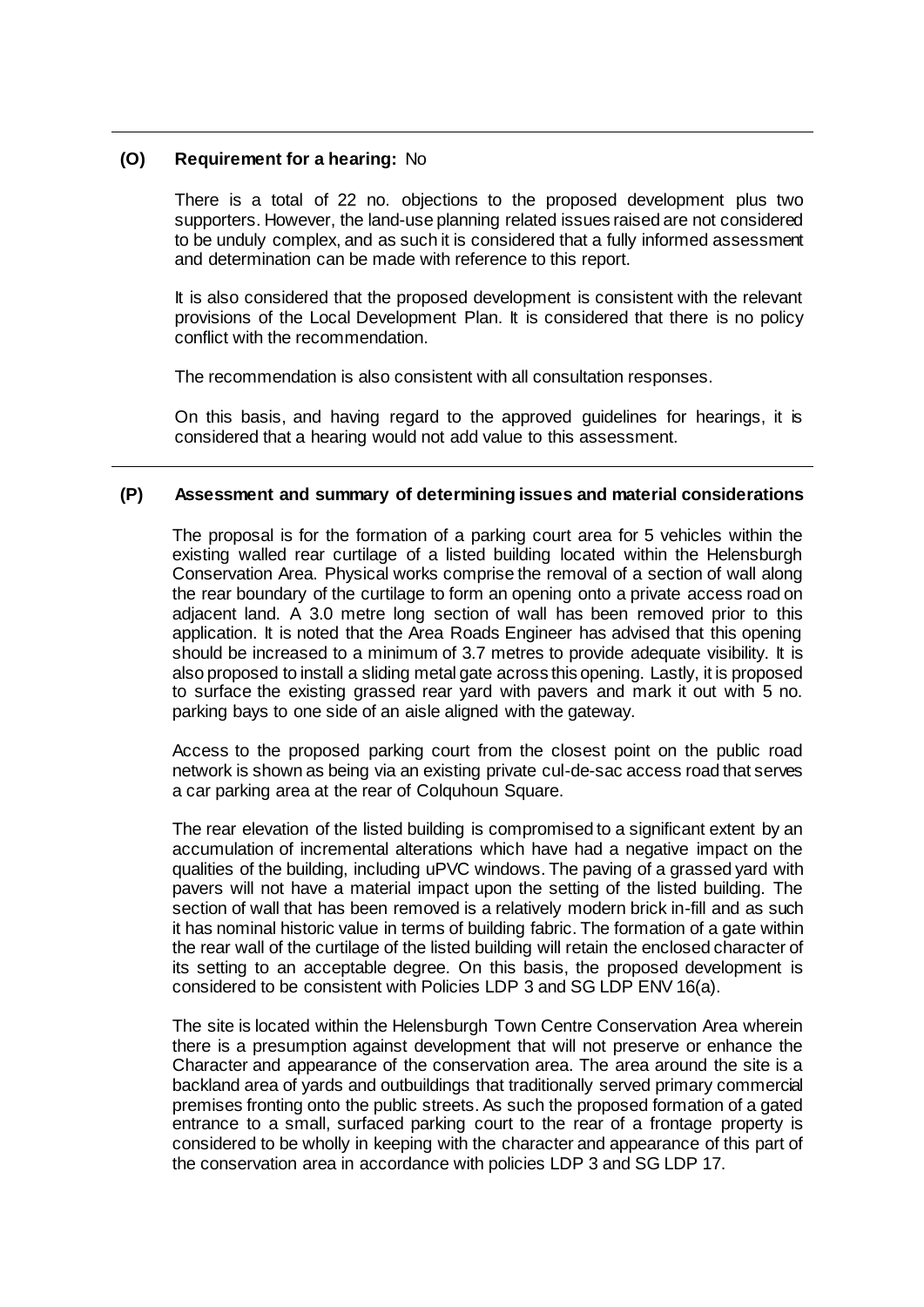### **(O) Requirement for a hearing:** No

There is a total of 22 no. objections to the proposed development plus two supporters. However, the land-use planning related issues raised are not considered to be unduly complex, and as such it is considered that a fully informed assessment and determination can be made with reference to this report.

It is also considered that the proposed development is consistent with the relevant provisions of the Local Development Plan. It is considered that there is no policy conflict with the recommendation.

The recommendation is also consistent with all consultation responses.

On this basis, and having regard to the approved guidelines for hearings, it is considered that a hearing would not add value to this assessment.

### **(P) Assessment and summary of determining issues and material considerations**

The proposal is for the formation of a parking court area for 5 vehicles within the existing walled rear curtilage of a listed building located within the Helensburgh Conservation Area. Physical works comprise the removal of a section of wall along the rear boundary of the curtilage to form an opening onto a private access road on adjacent land. A 3.0 metre long section of wall has been removed prior to this application. It is noted that the Area Roads Engineer has advised that this opening should be increased to a minimum of 3.7 metres to provide adequate visibility. It is also proposed to install a sliding metal gate across this opening. Lastly, it is proposed to surface the existing grassed rear yard with pavers and mark it out with 5 no. parking bays to one side of an aisle aligned with the gateway.

Access to the proposed parking court from the closest point on the public road network is shown as being via an existing private cul-de-sac access road that serves a car parking area at the rear of Colquhoun Square.

The rear elevation of the listed building is compromised to a significant extent by an accumulation of incremental alterations which have had a negative impact on the qualities of the building, including uPVC windows. The paving of a grassed yard with pavers will not have a material impact upon the setting of the listed building. The section of wall that has been removed is a relatively modern brick in-fill and as such it has nominal historic value in terms of building fabric. The formation of a gate within the rear wall of the curtilage of the listed building will retain the enclosed character of its setting to an acceptable degree. On this basis, the proposed development is considered to be consistent with Policies LDP 3 and SG LDP ENV 16(a).

The site is located within the Helensburgh Town Centre Conservation Area wherein there is a presumption against development that will not preserve or enhance the Character and appearance of the conservation area. The area around the site is a backland area of yards and outbuildings that traditionally served primary commercial premises fronting onto the public streets. As such the proposed formation of a gated entrance to a small, surfaced parking court to the rear of a frontage property is considered to be wholly in keeping with the character and appearance of this part of the conservation area in accordance with policies LDP 3 and SG LDP 17.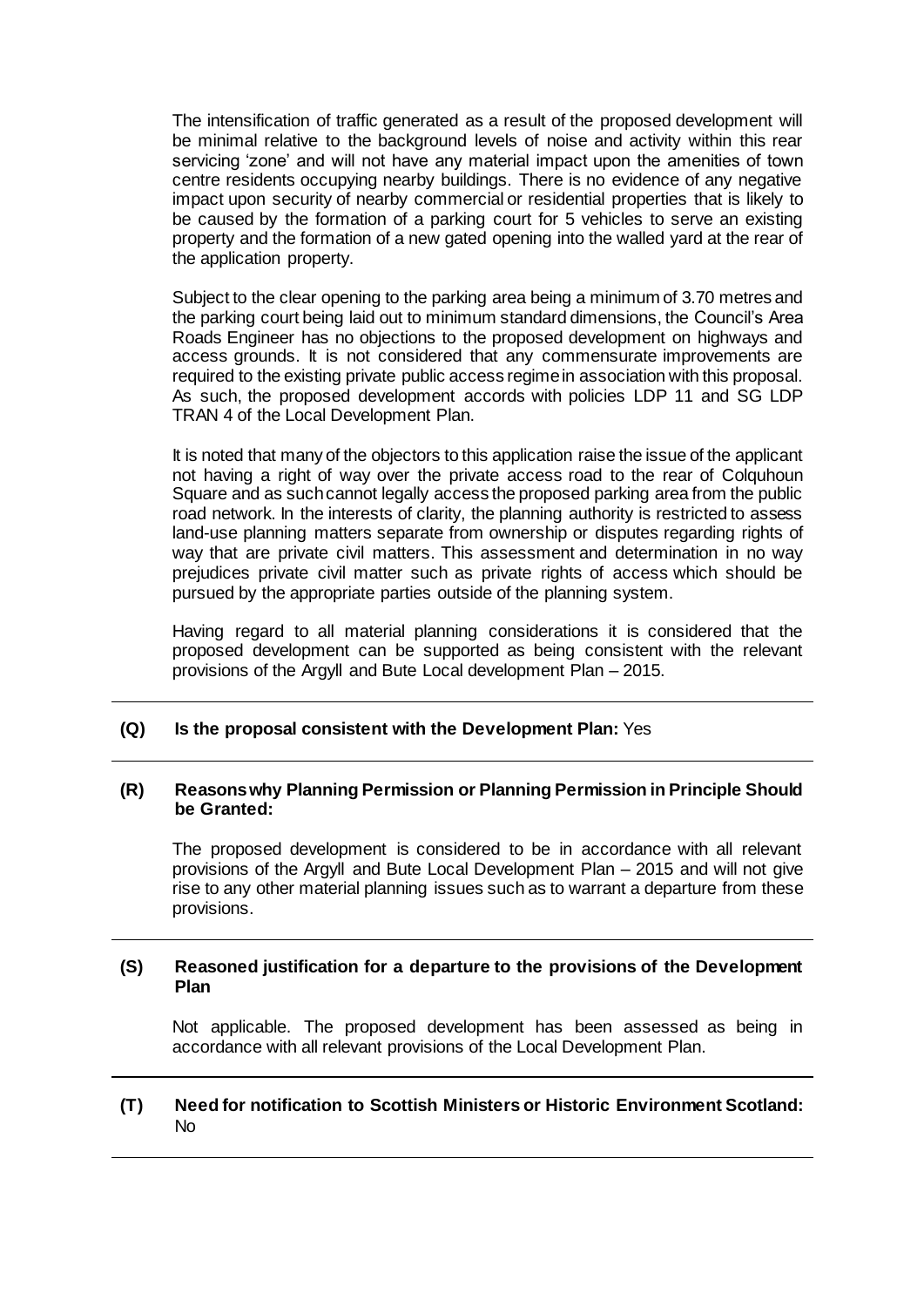The intensification of traffic generated as a result of the proposed development will be minimal relative to the background levels of noise and activity within this rear servicing 'zone' and will not have any material impact upon the amenities of town centre residents occupying nearby buildings. There is no evidence of any negative impact upon security of nearby commercial or residential properties that is likely to be caused by the formation of a parking court for 5 vehicles to serve an existing property and the formation of a new gated opening into the walled yard at the rear of the application property.

Subject to the clear opening to the parking area being a minimum of 3.70 metres and the parking court being laid out to minimum standard dimensions, the Council's Area Roads Engineer has no objections to the proposed development on highways and access grounds. It is not considered that any commensurate improvements are required to the existing private public access regime in association with this proposal. As such, the proposed development accords with policies LDP 11 and SG LDP TRAN 4 of the Local Development Plan.

It is noted that many of the objectors to this application raise the issue of the applicant not having a right of way over the private access road to the rear of Colquhoun Square and as such cannot legally access the proposed parking area from the public road network. In the interests of clarity, the planning authority is restricted to assess land-use planning matters separate from ownership or disputes regarding rights of way that are private civil matters. This assessment and determination in no way prejudices private civil matter such as private rights of access which should be pursued by the appropriate parties outside of the planning system.

Having regard to all material planning considerations it is considered that the proposed development can be supported as being consistent with the relevant provisions of the Argyll and Bute Local development Plan – 2015.

#### **(Q) Is the proposal consistent with the Development Plan:** Yes

### **(R) Reasons why Planning Permission or Planning Permission in Principle Should be Granted:**

The proposed development is considered to be in accordance with all relevant provisions of the Argyll and Bute Local Development Plan – 2015 and will not give rise to any other material planning issues such as to warrant a departure from these provisions.

#### **(S) Reasoned justification for a departure to the provisions of the Development Plan**

Not applicable. The proposed development has been assessed as being in accordance with all relevant provisions of the Local Development Plan.

### **(T) Need for notification to Scottish Ministers or Historic Environment Scotland:**  No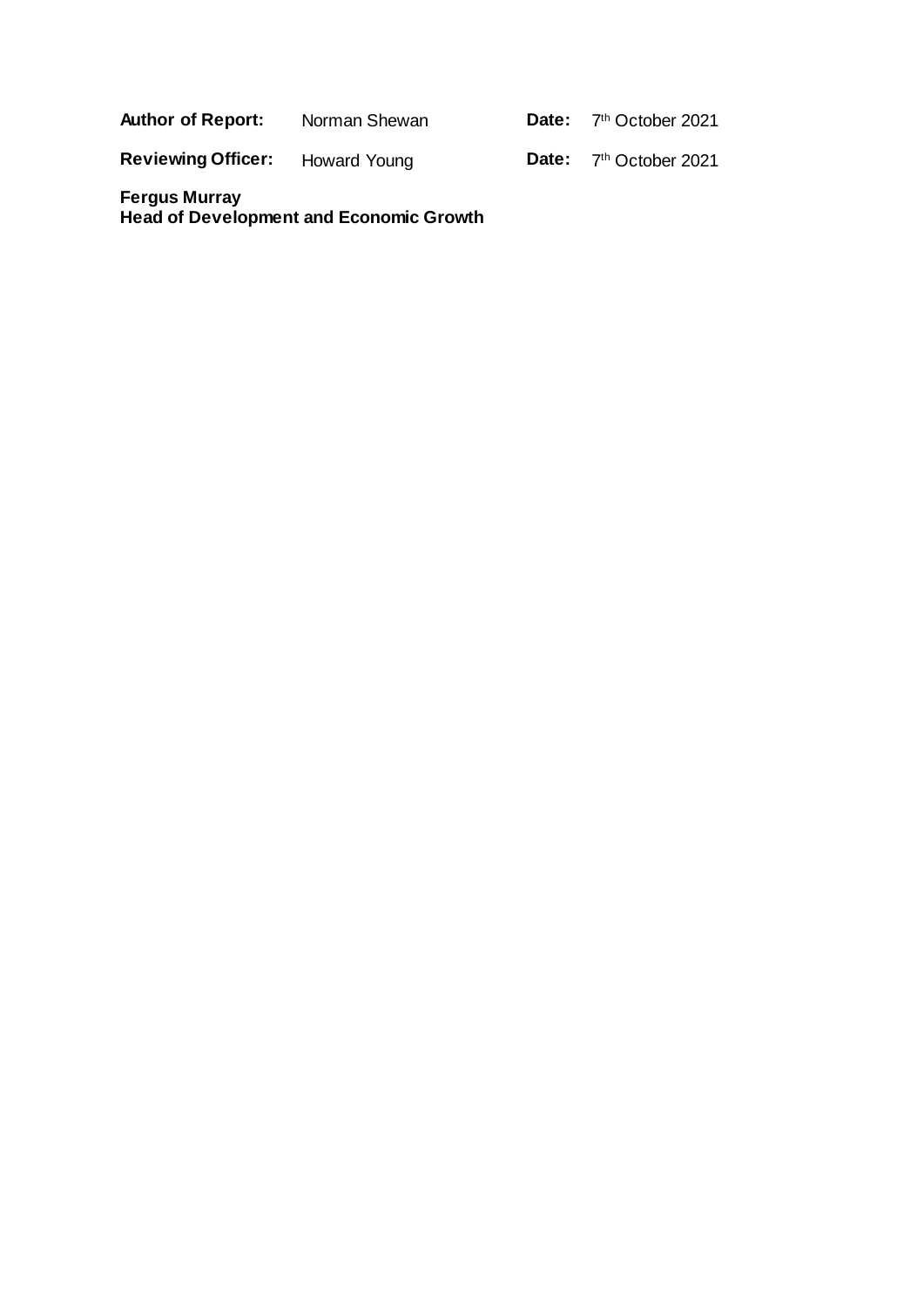**Author of Report:** Norman Shewan

Date: 7<sup>th</sup> October 2021

**Reviewing Officer:** Howard Young

Date: 7<sup>th</sup> October 2021

**Fergus Murray Head of Development and Economic Growth**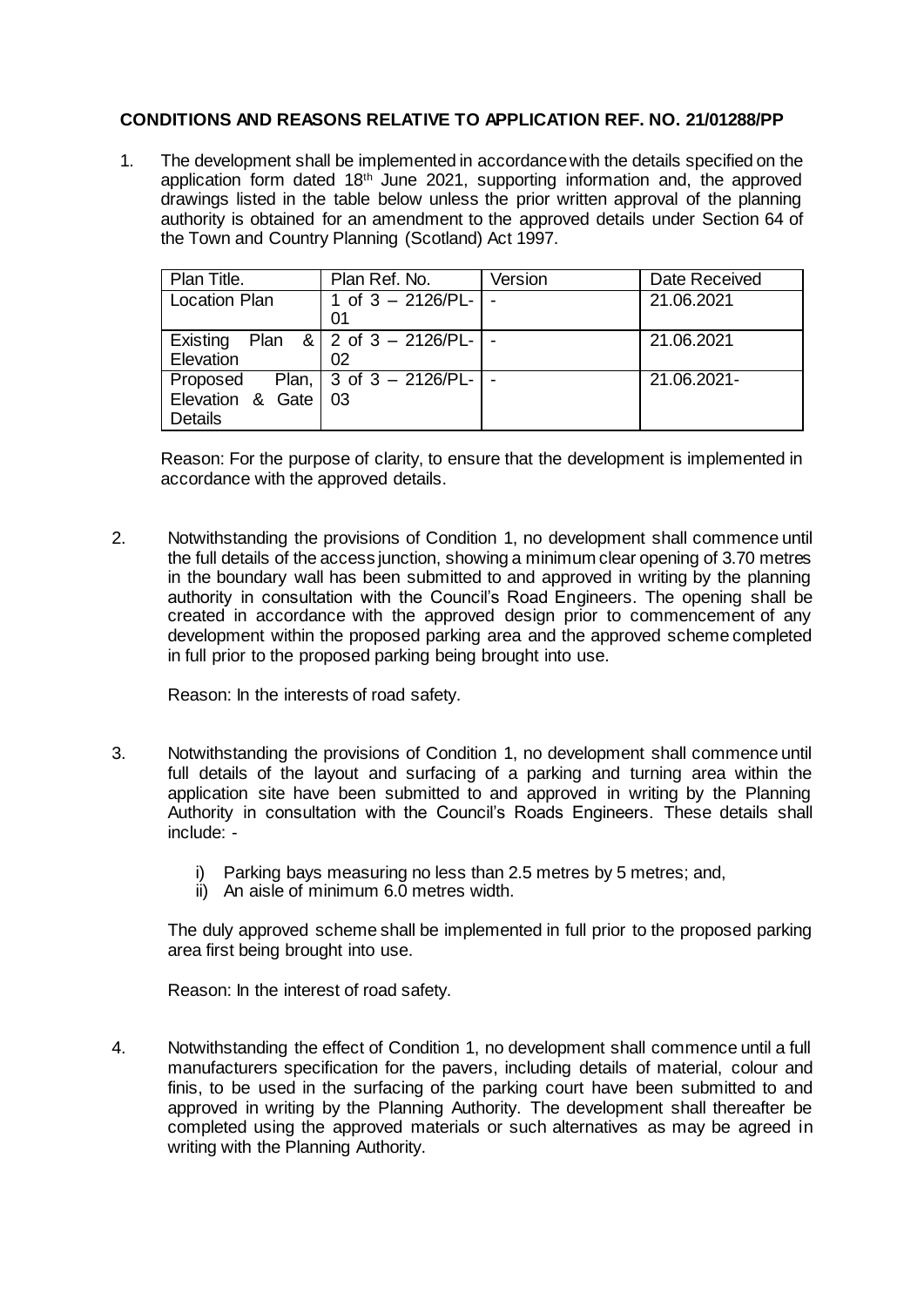# **CONDITIONS AND REASONS RELATIVE TO APPLICATION REF. NO. 21/01288/PP**

1. The development shall be implemented in accordance with the details specified on the application form dated 18th June 2021, supporting information and, the approved drawings listed in the table below unless the prior written approval of the planning authority is obtained for an amendment to the approved details under Section 64 of the Town and Country Planning (Scotland) Act 1997.

| Plan Title.                           | Plan Ref. No.                     | Version | Date Received |
|---------------------------------------|-----------------------------------|---------|---------------|
| <b>Location Plan</b>                  | 1 of $3 - 2126/PL -$ -<br>01      |         | 21.06.2021    |
| Existing<br>Elevation                 | Plan & 2 of $3 - 2126/PL$ -<br>02 |         | 21.06.2021    |
| Elevation & Gate 03<br><b>Details</b> | Proposed Plan, 3 of $3 - 2126/PL$ |         | 21.06.2021-   |

Reason: For the purpose of clarity, to ensure that the development is implemented in accordance with the approved details.

2. Notwithstanding the provisions of Condition 1, no development shall commence until the full details of the access junction, showing a minimum clear opening of 3.70 metres in the boundary wall has been submitted to and approved in writing by the planning authority in consultation with the Council's Road Engineers. The opening shall be created in accordance with the approved design prior to commencement of any development within the proposed parking area and the approved scheme completed in full prior to the proposed parking being brought into use.

Reason: In the interests of road safety.

- 3. Notwithstanding the provisions of Condition 1, no development shall commence until full details of the layout and surfacing of a parking and turning area within the application site have been submitted to and approved in writing by the Planning Authority in consultation with the Council's Roads Engineers. These details shall include:
	- i) Parking bays measuring no less than 2.5 metres by 5 metres; and,
	- ii) An aisle of minimum 6.0 metres width.

The duly approved scheme shall be implemented in full prior to the proposed parking area first being brought into use.

Reason: In the interest of road safety.

4. Notwithstanding the effect of Condition 1, no development shall commence until a full manufacturers specification for the pavers, including details of material, colour and finis, to be used in the surfacing of the parking court have been submitted to and approved in writing by the Planning Authority. The development shall thereafter be completed using the approved materials or such alternatives as may be agreed in writing with the Planning Authority.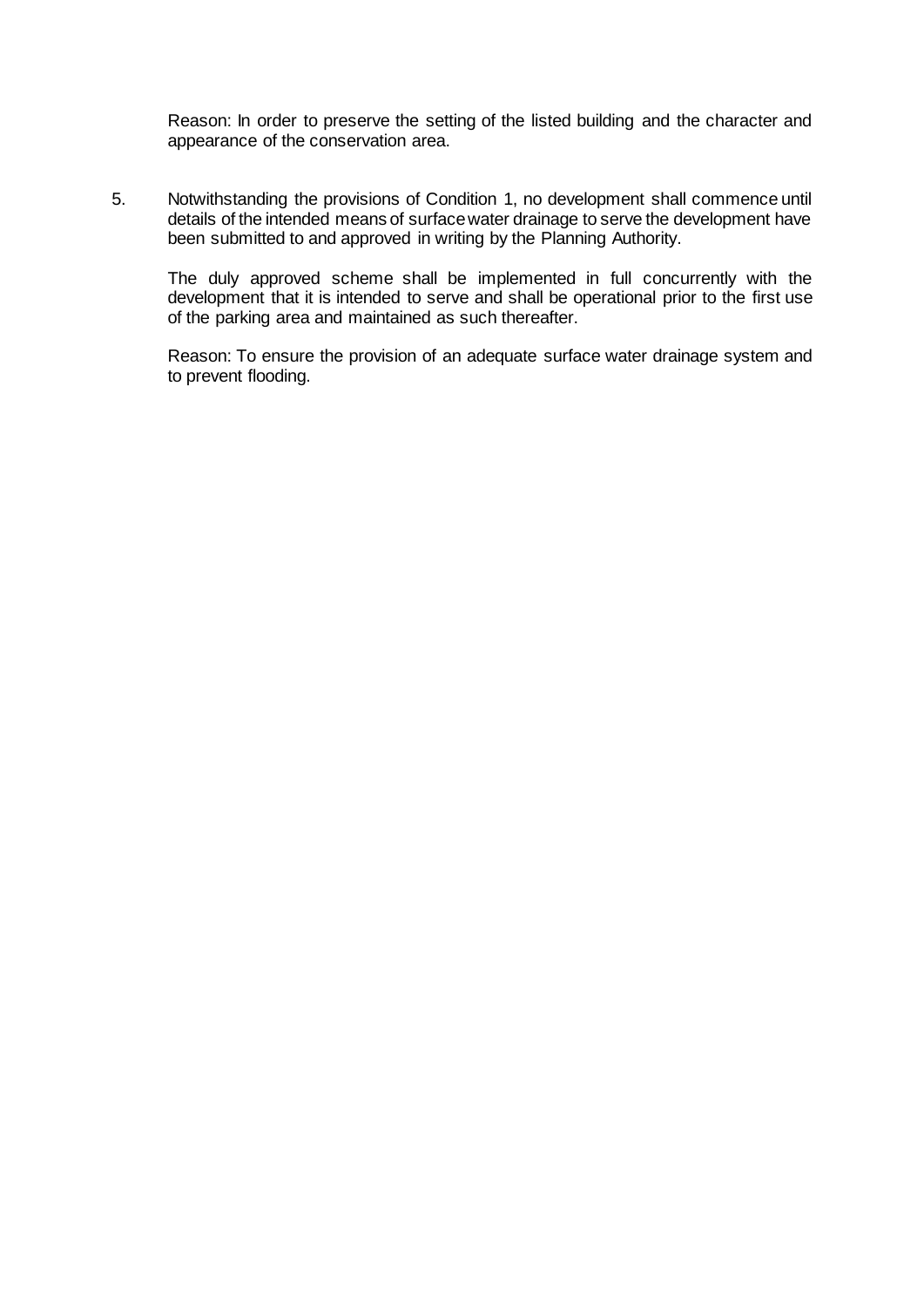Reason: In order to preserve the setting of the listed building and the character and appearance of the conservation area.

5. Notwithstanding the provisions of Condition 1, no development shall commence until details of the intended means of surface water drainage to serve the development have been submitted to and approved in writing by the Planning Authority.

The duly approved scheme shall be implemented in full concurrently with the development that it is intended to serve and shall be operational prior to the first use of the parking area and maintained as such thereafter.

Reason: To ensure the provision of an adequate surface water drainage system and to prevent flooding.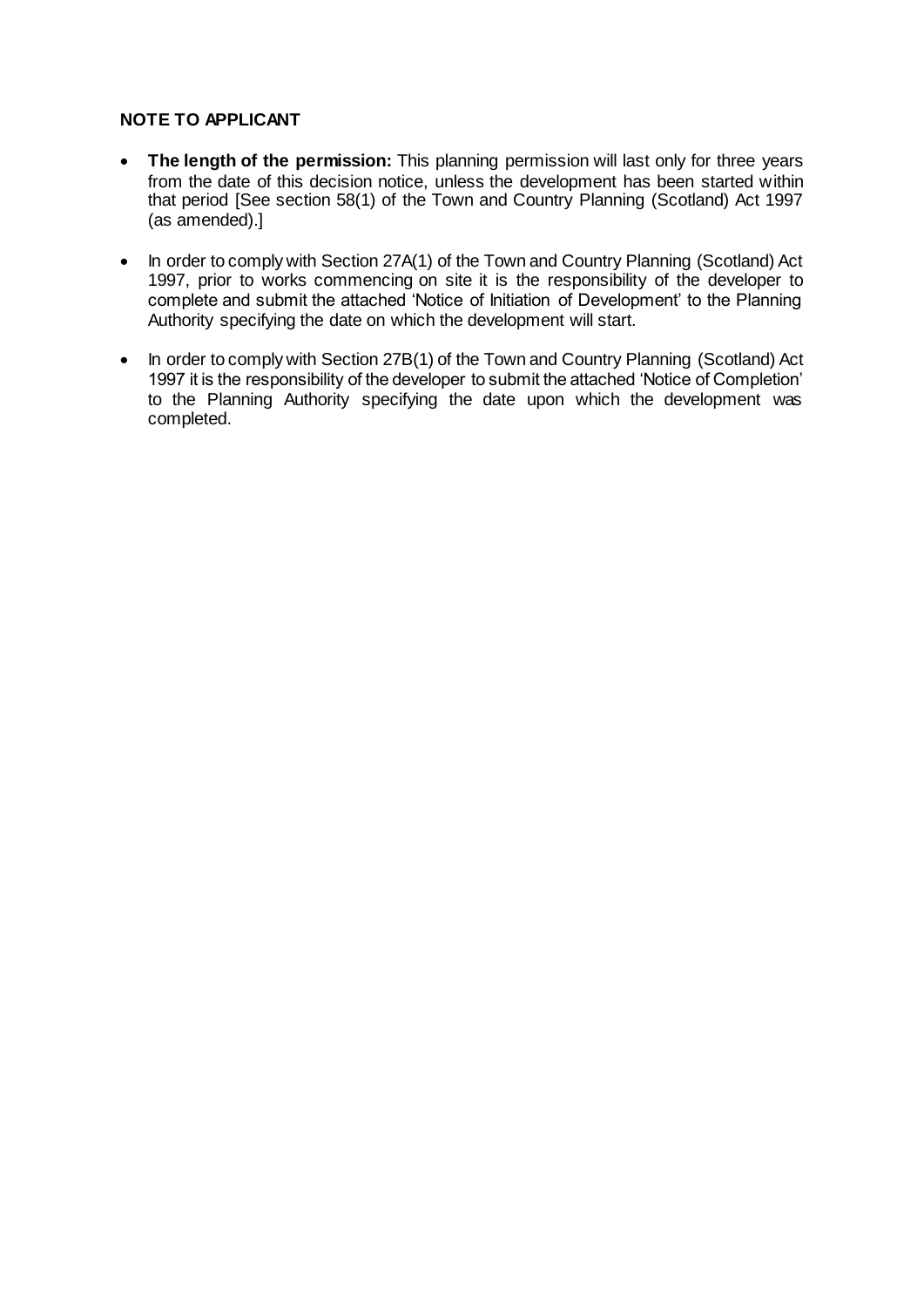# **NOTE TO APPLICANT**

- **The length of the permission:** This planning permission will last only for three years from the date of this decision notice, unless the development has been started within that period [See section 58(1) of the Town and Country Planning (Scotland) Act 1997 (as amended).]
- In order to comply with Section 27A(1) of the Town and Country Planning (Scotland) Act 1997, prior to works commencing on site it is the responsibility of the developer to complete and submit the attached 'Notice of Initiation of Development' to the Planning Authority specifying the date on which the development will start.
- In order to comply with Section 27B(1) of the Town and Country Planning (Scotland) Act 1997 it is the responsibility of the developer to submit the attached 'Notice of Completion' to the Planning Authority specifying the date upon which the development was completed.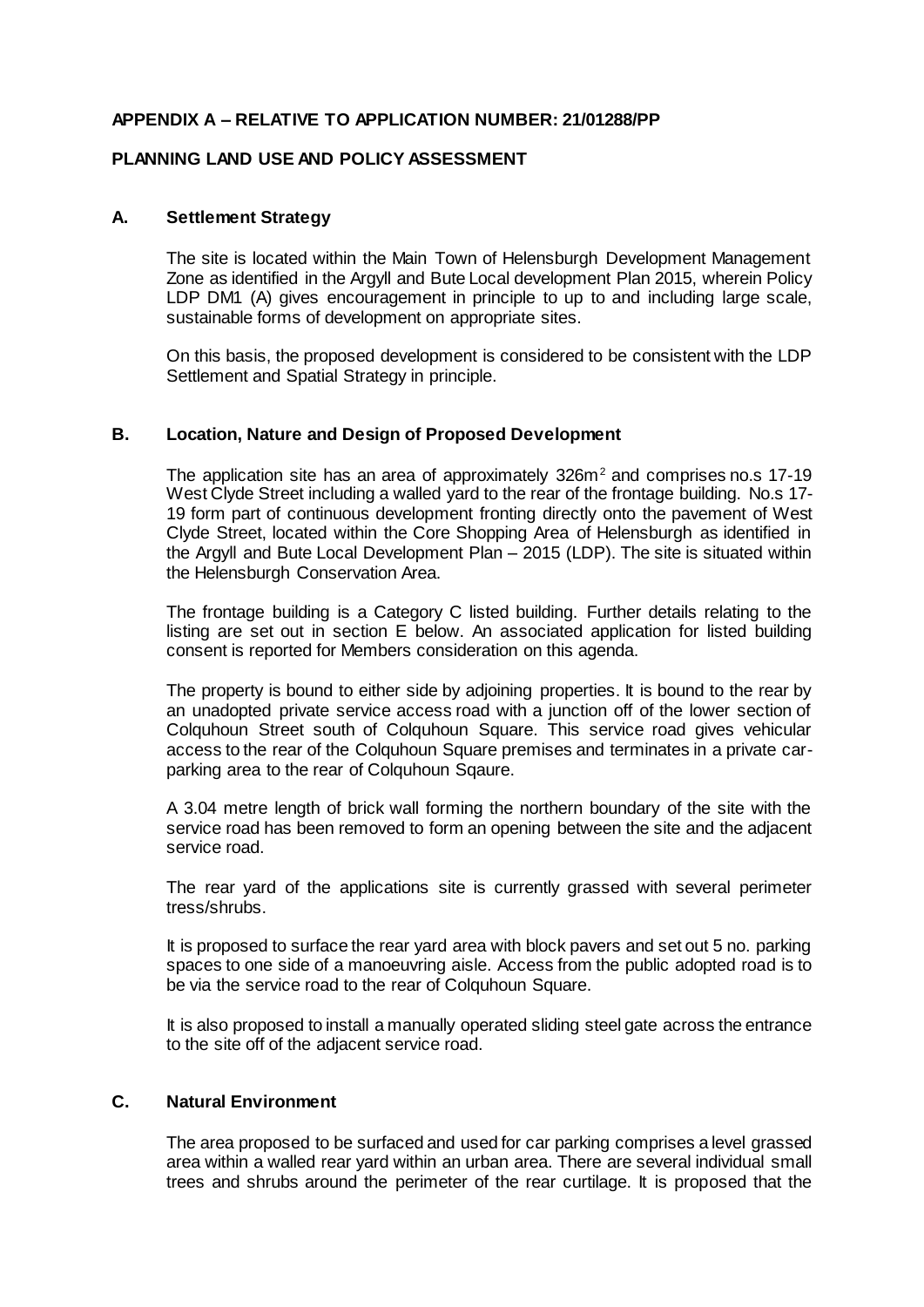## **APPENDIX A – RELATIVE TO APPLICATION NUMBER: 21/01288/PP**

## **PLANNING LAND USE AND POLICY ASSESSMENT**

### **A. Settlement Strategy**

The site is located within the Main Town of Helensburgh Development Management Zone as identified in the Argyll and Bute Local development Plan 2015, wherein Policy LDP DM1 (A) gives encouragement in principle to up to and including large scale, sustainable forms of development on appropriate sites.

On this basis, the proposed development is considered to be consistent with the LDP Settlement and Spatial Strategy in principle.

### **B. Location, Nature and Design of Proposed Development**

The application site has an area of approximately  $326m^2$  and comprises no.s 17-19 West Clyde Street including a walled yard to the rear of the frontage building. No.s 17- 19 form part of continuous development fronting directly onto the pavement of West Clyde Street, located within the Core Shopping Area of Helensburgh as identified in the Argyll and Bute Local Development Plan – 2015 (LDP). The site is situated within the Helensburgh Conservation Area.

The frontage building is a Category C listed building. Further details relating to the listing are set out in section E below. An associated application for listed building consent is reported for Members consideration on this agenda.

The property is bound to either side by adjoining properties. It is bound to the rear by an unadopted private service access road with a junction off of the lower section of Colquhoun Street south of Colquhoun Square. This service road gives vehicular access to the rear of the Colquhoun Square premises and terminates in a private carparking area to the rear of Colquhoun Sqaure.

A 3.04 metre length of brick wall forming the northern boundary of the site with the service road has been removed to form an opening between the site and the adjacent service road.

The rear yard of the applications site is currently grassed with several perimeter tress/shrubs.

It is proposed to surface the rear yard area with block pavers and set out 5 no. parking spaces to one side of a manoeuvring aisle. Access from the public adopted road is to be via the service road to the rear of Colquhoun Square.

It is also proposed to install a manually operated sliding steel gate across the entrance to the site off of the adjacent service road.

### **C. Natural Environment**

The area proposed to be surfaced and used for car parking comprises a level grassed area within a walled rear yard within an urban area. There are several individual small trees and shrubs around the perimeter of the rear curtilage. It is proposed that the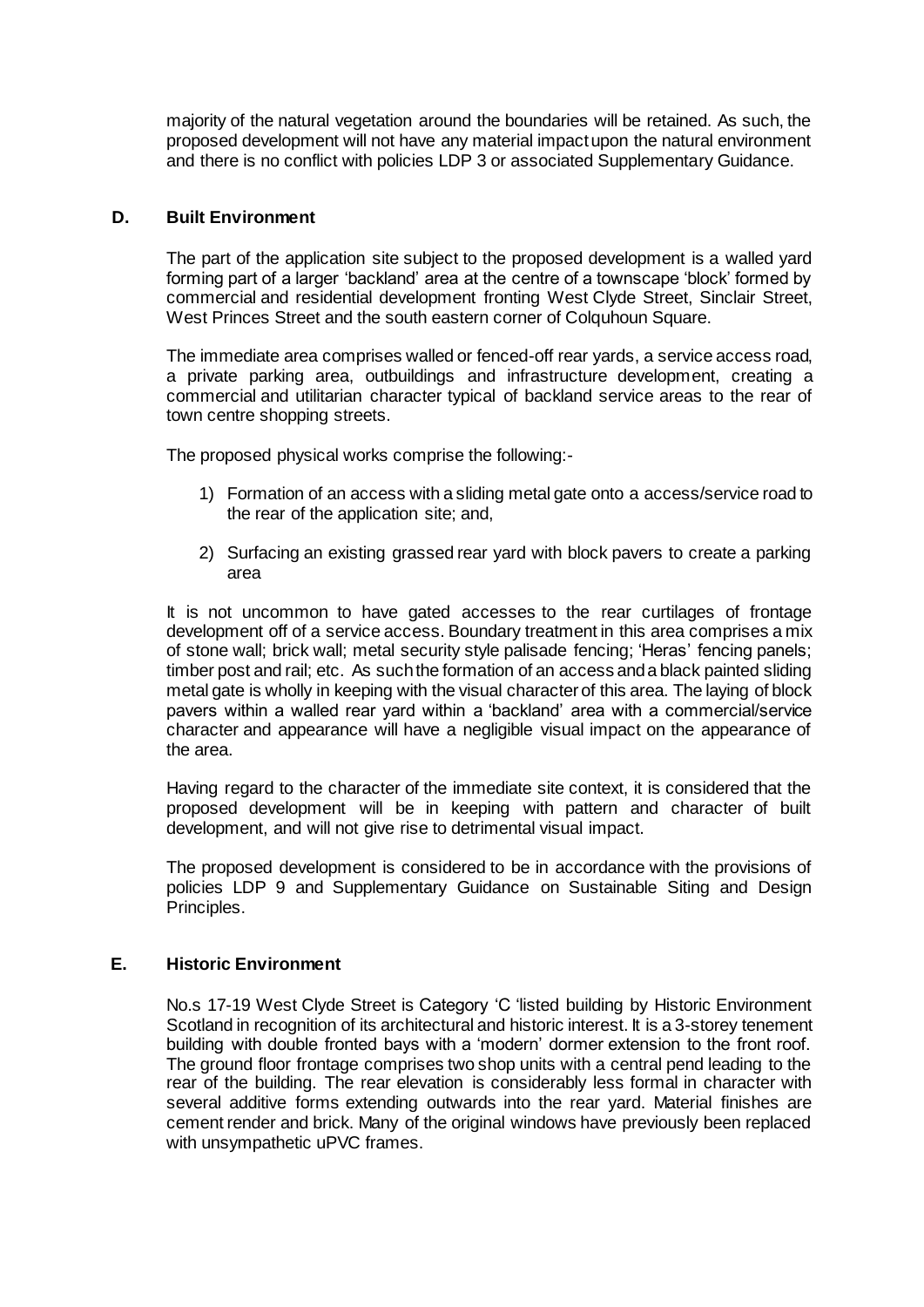majority of the natural vegetation around the boundaries will be retained. As such, the proposed development will not have any material impact upon the natural environment and there is no conflict with policies LDP 3 or associated Supplementary Guidance.

### **D. Built Environment**

The part of the application site subject to the proposed development is a walled yard forming part of a larger 'backland' area at the centre of a townscape 'block' formed by commercial and residential development fronting West Clyde Street, Sinclair Street, West Princes Street and the south eastern corner of Colquhoun Square.

The immediate area comprises walled or fenced-off rear yards, a service access road, a private parking area, outbuildings and infrastructure development, creating a commercial and utilitarian character typical of backland service areas to the rear of town centre shopping streets.

The proposed physical works comprise the following:-

- 1) Formation of an access with a sliding metal gate onto a access/service road to the rear of the application site; and,
- 2) Surfacing an existing grassed rear yard with block pavers to create a parking area

It is not uncommon to have gated accesses to the rear curtilages of frontage development off of a service access. Boundary treatment in this area comprises a mix of stone wall; brick wall; metal security style palisade fencing; 'Heras' fencing panels; timber post and rail; etc. As such the formation of an access and a black painted sliding metal gate is wholly in keeping with the visual character of this area. The laying of block pavers within a walled rear yard within a 'backland' area with a commercial/service character and appearance will have a negligible visual impact on the appearance of the area.

Having regard to the character of the immediate site context, it is considered that the proposed development will be in keeping with pattern and character of built development, and will not give rise to detrimental visual impact.

The proposed development is considered to be in accordance with the provisions of policies LDP 9 and Supplementary Guidance on Sustainable Siting and Design Principles.

### **E. Historic Environment**

No.s 17-19 West Clyde Street is Category 'C 'listed building by Historic Environment Scotland in recognition of its architectural and historic interest. It is a 3-storey tenement building with double fronted bays with a 'modern' dormer extension to the front roof. The ground floor frontage comprises two shop units with a central pend leading to the rear of the building. The rear elevation is considerably less formal in character with several additive forms extending outwards into the rear yard. Material finishes are cement render and brick. Many of the original windows have previously been replaced with unsympathetic uPVC frames.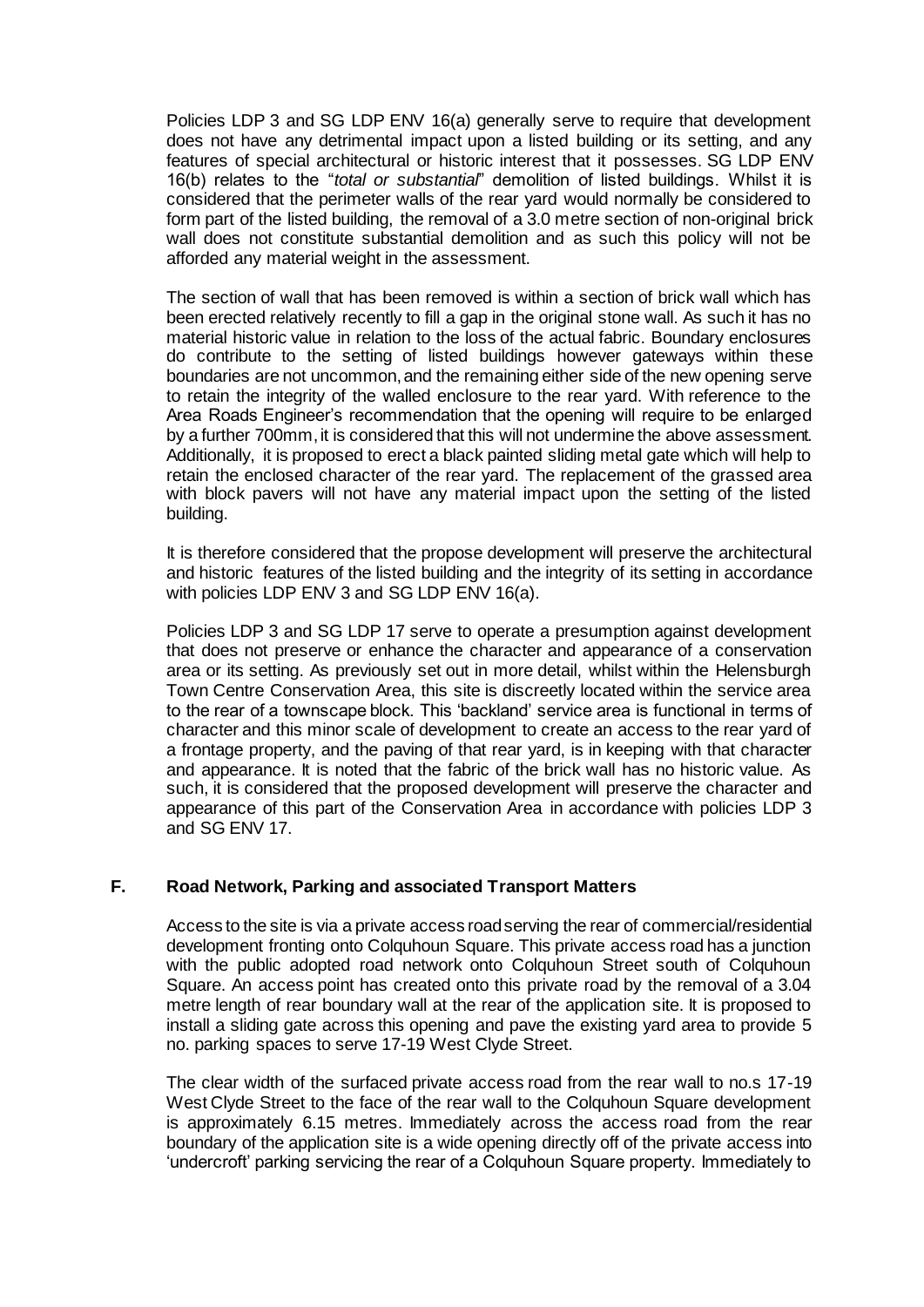Policies LDP 3 and SG LDP ENV 16(a) generally serve to require that development does not have any detrimental impact upon a listed building or its setting, and any features of special architectural or historic interest that it possesses. SG LDP ENV 16(b) relates to the "*total or substantial*" demolition of listed buildings. Whilst it is considered that the perimeter walls of the rear yard would normally be considered to form part of the listed building, the removal of a 3.0 metre section of non-original brick wall does not constitute substantial demolition and as such this policy will not be afforded any material weight in the assessment.

The section of wall that has been removed is within a section of brick wall which has been erected relatively recently to fill a gap in the original stone wall. As such it has no material historic value in relation to the loss of the actual fabric. Boundary enclosures do contribute to the setting of listed buildings however gateways within these boundaries are not uncommon, and the remaining either side of the new opening serve to retain the integrity of the walled enclosure to the rear yard. With reference to the Area Roads Engineer's recommendation that the opening will require to be enlarged by a further 700mm, it is considered that this will not undermine the above assessment. Additionally, it is proposed to erect a black painted sliding metal gate which will help to retain the enclosed character of the rear yard. The replacement of the grassed area with block pavers will not have any material impact upon the setting of the listed building.

It is therefore considered that the propose development will preserve the architectural and historic features of the listed building and the integrity of its setting in accordance with policies LDP ENV 3 and SG LDP ENV 16(a).

Policies LDP 3 and SG LDP 17 serve to operate a presumption against development that does not preserve or enhance the character and appearance of a conservation area or its setting. As previously set out in more detail, whilst within the Helensburgh Town Centre Conservation Area, this site is discreetly located within the service area to the rear of a townscape block. This 'backland' service area is functional in terms of character and this minor scale of development to create an access to the rear yard of a frontage property, and the paving of that rear yard, is in keeping with that character and appearance. It is noted that the fabric of the brick wall has no historic value. As such, it is considered that the proposed development will preserve the character and appearance of this part of the Conservation Area in accordance with policies LDP 3 and SG ENV 17.

## **F. Road Network, Parking and associated Transport Matters**

Access to the site is via a private access road serving the rear of commercial/residential development fronting onto Colquhoun Square. This private access road has a junction with the public adopted road network onto Colquhoun Street south of Colquhoun Square. An access point has created onto this private road by the removal of a 3.04 metre length of rear boundary wall at the rear of the application site. It is proposed to install a sliding gate across this opening and pave the existing yard area to provide 5 no. parking spaces to serve 17-19 West Clyde Street.

The clear width of the surfaced private access road from the rear wall to no.s 17-19 West Clyde Street to the face of the rear wall to the Colquhoun Square development is approximately 6.15 metres. Immediately across the access road from the rear boundary of the application site is a wide opening directly off of the private access into 'undercroft' parking servicing the rear of a Colquhoun Square property. Immediately to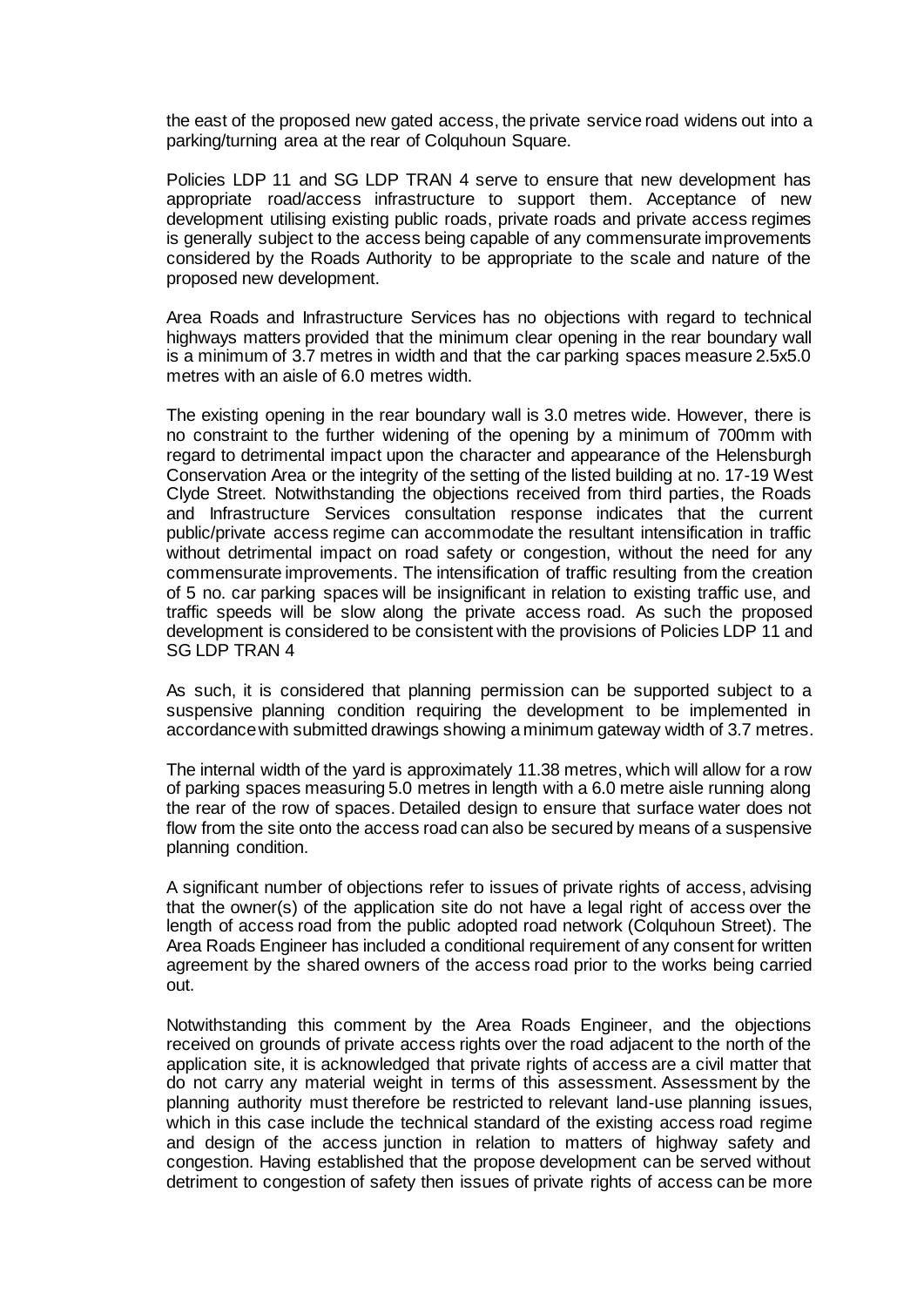the east of the proposed new gated access, the private service road widens out into a parking/turning area at the rear of Colquhoun Square.

Policies LDP 11 and SG LDP TRAN 4 serve to ensure that new development has appropriate road/access infrastructure to support them. Acceptance of new development utilising existing public roads, private roads and private access regimes is generally subject to the access being capable of any commensurate improvements considered by the Roads Authority to be appropriate to the scale and nature of the proposed new development.

Area Roads and Infrastructure Services has no objections with regard to technical highways matters provided that the minimum clear opening in the rear boundary wall is a minimum of 3.7 metres in width and that the car parking spaces measure 2.5x5.0 metres with an aisle of 6.0 metres width.

The existing opening in the rear boundary wall is 3.0 metres wide. However, there is no constraint to the further widening of the opening by a minimum of 700mm with regard to detrimental impact upon the character and appearance of the Helensburgh Conservation Area or the integrity of the setting of the listed building at no. 17-19 West Clyde Street. Notwithstanding the objections received from third parties, the Roads and Infrastructure Services consultation response indicates that the current public/private access regime can accommodate the resultant intensification in traffic without detrimental impact on road safety or congestion, without the need for any commensurate improvements. The intensification of traffic resulting from the creation of 5 no. car parking spaces will be insignificant in relation to existing traffic use, and traffic speeds will be slow along the private access road. As such the proposed development is considered to be consistent with the provisions of Policies LDP 11 and SG LDP TRAN 4

As such, it is considered that planning permission can be supported subject to a suspensive planning condition requiring the development to be implemented in accordance with submitted drawings showing a minimum gateway width of 3.7 metres.

The internal width of the yard is approximately 11.38 metres, which will allow for a row of parking spaces measuring 5.0 metres in length with a 6.0 metre aisle running along the rear of the row of spaces. Detailed design to ensure that surface water does not flow from the site onto the access road can also be secured by means of a suspensive planning condition.

A significant number of objections refer to issues of private rights of access, advising that the owner(s) of the application site do not have a legal right of access over the length of access road from the public adopted road network (Colquhoun Street). The Area Roads Engineer has included a conditional requirement of any consent for written agreement by the shared owners of the access road prior to the works being carried out.

Notwithstanding this comment by the Area Roads Engineer, and the objections received on grounds of private access rights over the road adjacent to the north of the application site, it is acknowledged that private rights of access are a civil matter that do not carry any material weight in terms of this assessment. Assessment by the planning authority must therefore be restricted to relevant land-use planning issues, which in this case include the technical standard of the existing access road regime and design of the access junction in relation to matters of highway safety and congestion. Having established that the propose development can be served without detriment to congestion of safety then issues of private rights of access can be more